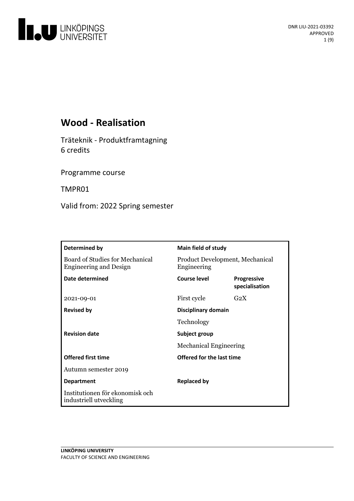

## **Wood - Realisation**

Träteknik - Produktframtagning 6 credits

Programme course

TMPR01

Valid from: 2022 Spring semester

| Determined by                                                    | <b>Main field of study</b>                     |                                      |
|------------------------------------------------------------------|------------------------------------------------|--------------------------------------|
| Board of Studies for Mechanical<br><b>Engineering and Design</b> | Product Development, Mechanical<br>Engineering |                                      |
| Date determined                                                  | Course level                                   | <b>Progressive</b><br>specialisation |
| 2021-09-01                                                       | First cycle                                    | G <sub>2</sub> X                     |
| <b>Revised by</b>                                                | Disciplinary domain                            |                                      |
|                                                                  | Technology                                     |                                      |
| <b>Revision date</b>                                             | Subject group                                  |                                      |
|                                                                  | <b>Mechanical Engineering</b>                  |                                      |
| <b>Offered first time</b>                                        | Offered for the last time                      |                                      |
| Autumn semester 2019                                             |                                                |                                      |
| <b>Department</b>                                                | <b>Replaced by</b>                             |                                      |
| Institutionen för ekonomisk och<br>industriell utveckling        |                                                |                                      |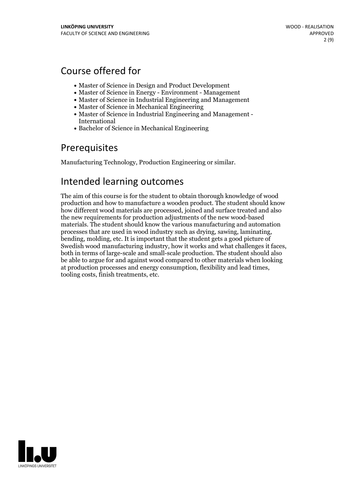## Course offered for

- Master of Science in Design and Product Development
- Master of Science in Energy Environment Management
- Master of Science in Industrial Engineering and Management
- Master of Science in Mechanical Engineering
- Master of Science in Industrial Engineering and Management International
- Bachelor of Science in Mechanical Engineering

## Prerequisites

Manufacturing Technology, Production Engineering or similar.

## Intended learning outcomes

The aim of this course is for the student to obtain thorough knowledge of wood production and how to manufacture a wooden product. The student should know how different wood materials are processed, joined and surface treated and also the new requirements for production adjustments of the new wood-based materials. The student should know the various manufacturing and automation processes that are used in wood industry such as drying, sawing, laminating, bending, molding, etc. It is important that the student gets <sup>a</sup> good picture of both in terms of large-scale and small-scale production. The student should also be able to argue for and against wood compared to other materials when looking at production processes and energy consumption, flexibility and lead times, tooling costs, finish treatments, etc.

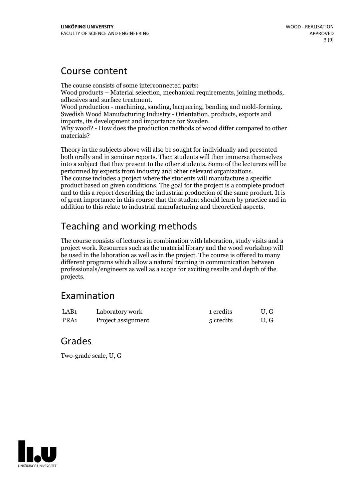## Course content

The course consists of some interconnected parts: Wood products – Material selection, mechanical requirements, joining methods, adhesives and surface treatment.<br>Wood production - machining, sanding, lacquering, bending and mold-forming.<br>Swedish Wood Manufacturing Industry Why wood? - How does the production methods of wood differ compared to other materials?

Theory in the subjects above will also be sought for individually and presented both orally and in seminar reports. Then students will then immerse themselves into a subject that they present to the other students. Some ofthe lecturers will be performed by experts from industry and other relevant organizations. The course includes <sup>a</sup> project where the students will manufacture <sup>a</sup> specific product based on given conditions. The goal for the project is a complete product and to this a report describing the industrial production of the same product. It is of great importance in this course that the student should learn by practice and in addition to this relate to industrial manufacturing and theoretical aspects.

# Teaching and working methods

The course consists of lectures in combination with laboration, study visits and a project work. Resources such as the material library and the wood workshop will be used in the laboration aswell as in the project. The course is offered to many different programs which allow a natural training in communication between professionals/engineers as well as a scope for exciting results and depth of the projects.

## Examination

| LAB1 | Laboratory work    | 1 credits | U.G  |
|------|--------------------|-----------|------|
| PRA1 | Project assignment | 5 credits | U, G |

## Grades

Two-grade scale, U, G

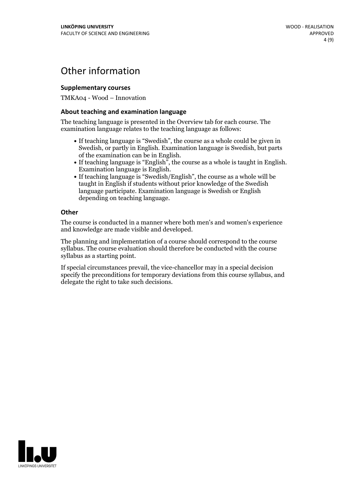## Other information

### **Supplementarycourses**

TMKA04 - Wood – Innovation

### **About teaching and examination language**

The teaching language is presented in the Overview tab for each course. The examination language relates to the teaching language as follows:

- If teaching language is "Swedish", the course as a whole could be given in Swedish, or partly in English. Examination language is Swedish, but parts
- of the examination can be in English. If teaching language is "English", the course as <sup>a</sup> whole is taught in English. Examination language is English. If teaching language is "Swedish/English", the course as <sup>a</sup> whole will be
- taught in English if students without prior knowledge of the Swedish language participate. Examination language is Swedish or English depending on teaching language.

#### **Other**

The course is conducted in a manner where both men's and women's experience and knowledge are made visible and developed.

The planning and implementation of a course should correspond to the course syllabus. The course evaluation should therefore be conducted with the course syllabus as a starting point.

If special circumstances prevail, the vice-chancellor may in a special decision specify the preconditions for temporary deviations from this course syllabus, and delegate the right to take such decisions.

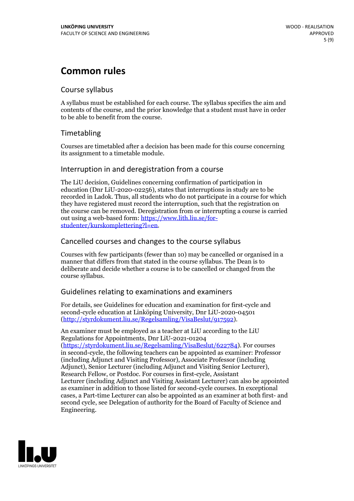## **Common rules**

### Course syllabus

A syllabus must be established for each course. The syllabus specifies the aim and contents of the course, and the prior knowledge that a student must have in order to be able to benefit from the course.

## Timetabling

Courses are timetabled after a decision has been made for this course concerning its assignment to a timetable module.

### Interruption in and deregistration from a course

The LiU decision, Guidelines concerning confirmation of participation in education (Dnr LiU-2020-02256), states that interruptions in study are to be recorded in Ladok. Thus, all students who do not participate in a course for which they have registered must record the interruption, such that the registration on the course can be removed. Deregistration from or interrupting a course is carried out using <sup>a</sup> web-based form: https://www.lith.liu.se/for- [studenter/kurskomplettering?l=en.](https://www.lith.liu.se/for-studenter/kurskomplettering?l=en)

## Cancelled courses and changes to the course syllabus

Courses with few participants (fewer than 10) may be cancelled or organised in a manner that differs from that stated in the course syllabus. The Dean is to deliberate and decide whether a course is to be cancelled or changed from the course syllabus.

## Guidelines relating to examinations and examiners

For details, see Guidelines for education and examination for first-cycle and second-cycle education at Linköping University, Dnr LiU-2020-04501 [\(http://styrdokument.liu.se/Regelsamling/VisaBeslut/917592\)](http://styrdokument.liu.se/Regelsamling/VisaBeslut/917592).

An examiner must be employed as a teacher at LiU according to the LiU Regulations for Appointments, Dnr LiU-2021-01204 [\(https://styrdokument.liu.se/Regelsamling/VisaBeslut/622784](https://styrdokument.liu.se/Regelsamling/VisaBeslut/622784)). For courses in second-cycle, the following teachers can be appointed as examiner: Professor (including Adjunct and Visiting Professor), Associate Professor (including Adjunct), Senior Lecturer (including Adjunct and Visiting Senior Lecturer), Research Fellow, or Postdoc. For courses in first-cycle, Assistant Lecturer (including Adjunct and Visiting Assistant Lecturer) can also be appointed as examiner in addition to those listed for second-cycle courses. In exceptional cases, a Part-time Lecturer can also be appointed as an examiner at both first- and second cycle, see Delegation of authority for the Board of Faculty of Science and Engineering.

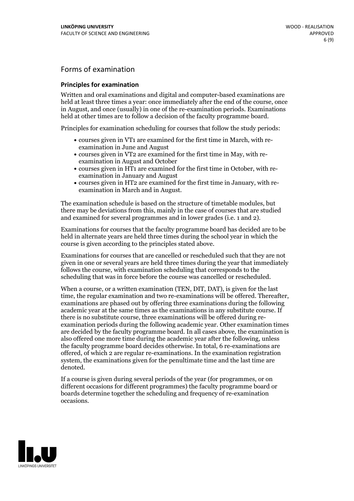## Forms of examination

### **Principles for examination**

Written and oral examinations and digital and computer-based examinations are held at least three times a year: once immediately after the end of the course, once in August, and once (usually) in one of the re-examination periods. Examinations held at other times are to follow a decision of the faculty programme board.

Principles for examination scheduling for courses that follow the study periods:

- courses given in VT1 are examined for the first time in March, with re-examination in June and August
- courses given in VT2 are examined for the first time in May, with re-examination in August and October
- courses given in HT1 are examined for the first time in October, with re-examination in January and August
- courses given in HT2 are examined for the first time in January, with re-examination in March and in August.

The examination schedule is based on the structure of timetable modules, but there may be deviations from this, mainly in the case of courses that are studied and examined for several programmes and in lower grades (i.e. 1 and 2).

Examinations for courses that the faculty programme board has decided are to be held in alternate years are held three times during the school year in which the course is given according to the principles stated above.

Examinations for courses that are cancelled orrescheduled such that they are not given in one or several years are held three times during the year that immediately follows the course, with examination scheduling that corresponds to the scheduling that was in force before the course was cancelled or rescheduled.

When a course, or a written examination (TEN, DIT, DAT), is given for the last time, the regular examination and two re-examinations will be offered. Thereafter, examinations are phased out by offering three examinations during the following academic year at the same times as the examinations in any substitute course. If there is no substitute course, three examinations will be offered during re- examination periods during the following academic year. Other examination times are decided by the faculty programme board. In all cases above, the examination is also offered one more time during the academic year after the following, unless the faculty programme board decides otherwise. In total, 6 re-examinations are offered, of which 2 are regular re-examinations. In the examination registration system, the examinations given for the penultimate time and the last time are denoted.

If a course is given during several periods of the year (for programmes, or on different occasions for different programmes) the faculty programme board or boards determine together the scheduling and frequency of re-examination occasions.

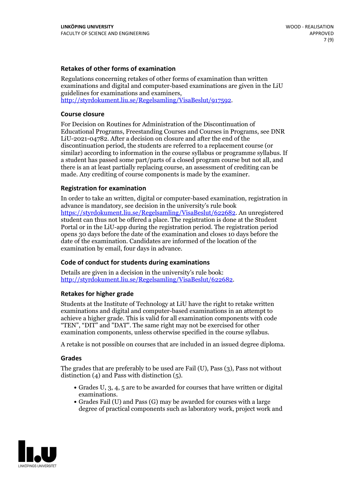### **Retakes of other forms of examination**

Regulations concerning retakes of other forms of examination than written examinations and digital and computer-based examinations are given in the LiU guidelines for examinations and examiners, [http://styrdokument.liu.se/Regelsamling/VisaBeslut/917592.](http://styrdokument.liu.se/Regelsamling/VisaBeslut/917592)

#### **Course closure**

For Decision on Routines for Administration of the Discontinuation of Educational Programs, Freestanding Courses and Courses in Programs, see DNR LiU-2021-04782. After a decision on closure and after the end of the discontinuation period, the students are referred to a replacement course (or similar) according to information in the course syllabus or programme syllabus. If a student has passed some part/parts of a closed program course but not all, and there is an at least partially replacing course, an assessment of crediting can be made. Any crediting of course components is made by the examiner.

#### **Registration for examination**

In order to take an written, digital or computer-based examination, registration in advance is mandatory, see decision in the university's rule book [https://styrdokument.liu.se/Regelsamling/VisaBeslut/622682.](https://styrdokument.liu.se/Regelsamling/VisaBeslut/622682) An unregistered student can thus not be offered a place. The registration is done at the Student Portal or in the LiU-app during the registration period. The registration period opens 30 days before the date of the examination and closes 10 days before the date of the examination. Candidates are informed of the location of the examination by email, four days in advance.

#### **Code of conduct for students during examinations**

Details are given in a decision in the university's rule book: <http://styrdokument.liu.se/Regelsamling/VisaBeslut/622682>.

#### **Retakes for higher grade**

Students at the Institute of Technology at LiU have the right to retake written examinations and digital and computer-based examinations in an attempt to achieve a higher grade. This is valid for all examination components with code "TEN", "DIT" and "DAT". The same right may not be exercised for other examination components, unless otherwise specified in the course syllabus.

A retake is not possible on courses that are included in an issued degree diploma.

#### **Grades**

The grades that are preferably to be used are Fail (U), Pass (3), Pass not without distinction  $(4)$  and Pass with distinction  $(5)$ .

- Grades U, 3, 4, 5 are to be awarded for courses that have written or digital examinations.<br>• Grades Fail (U) and Pass (G) may be awarded for courses with a large
- degree of practical components such as laboratory work, project work and

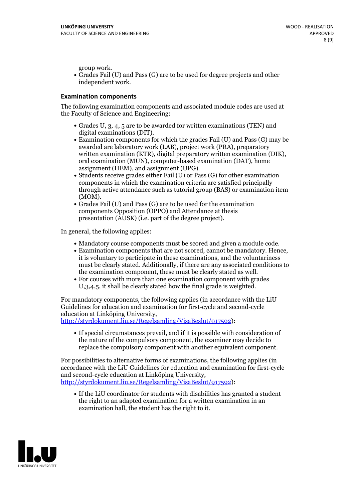group work.<br>• Grades Fail (U) and Pass (G) are to be used for degree projects and other independent work.

### **Examination components**

The following examination components and associated module codes are used at the Faculty of Science and Engineering:

- Grades U, 3, 4, 5 are to be awarded for written examinations (TEN) and
- digital examinations (DIT).<br>• Examination components for which the grades Fail (U) and Pass (G) may be awarded are laboratory work (LAB), project work (PRA), preparatory written examination (KTR), digital preparatory written examination (DIK), oral examination (MUN), computer-based examination (DAT), home
- assignment (HEM), and assignment (UPG).<br>• Students receive grades either Fail (U) or Pass (G) for other examination components in which the examination criteria are satisfied principally through active attendance such as tutorial group (BAS) or examination item
- (MOM).<br>• Grades Fail (U) and Pass (G) are to be used for the examination components Opposition (OPPO) and Attendance at thesis presentation (AUSK) (i.e. part of the degree project).

In general, the following applies:

- 
- Mandatory course components must be scored and given <sup>a</sup> module code. Examination components that are not scored, cannot be mandatory. Hence, it is voluntary to participate in these examinations, and the voluntariness must be clearly stated. Additionally, if there are any associated conditions to
- the examination component, these must be clearly stated as well.<br>• For courses with more than one examination component with grades U,3,4,5, it shall be clearly stated how the final grade is weighted.

For mandatory components, the following applies (in accordance with the LiU Guidelines for education and examination for first-cycle and second-cycle education at Linköping University,<br>[http://styrdokument.liu.se/Regelsamling/VisaBeslut/917592\)](http://styrdokument.liu.se/Regelsamling/VisaBeslut/917592):

If special circumstances prevail, and if it is possible with consideration of the nature of the compulsory component, the examiner may decide to replace the compulsory component with another equivalent component.

For possibilities to alternative forms of examinations, the following applies (in accordance with the LiU Guidelines for education and examination for first-cycle [http://styrdokument.liu.se/Regelsamling/VisaBeslut/917592\)](http://styrdokument.liu.se/Regelsamling/VisaBeslut/917592):

If the LiU coordinator for students with disabilities has granted a student the right to an adapted examination for a written examination in an examination hall, the student has the right to it.